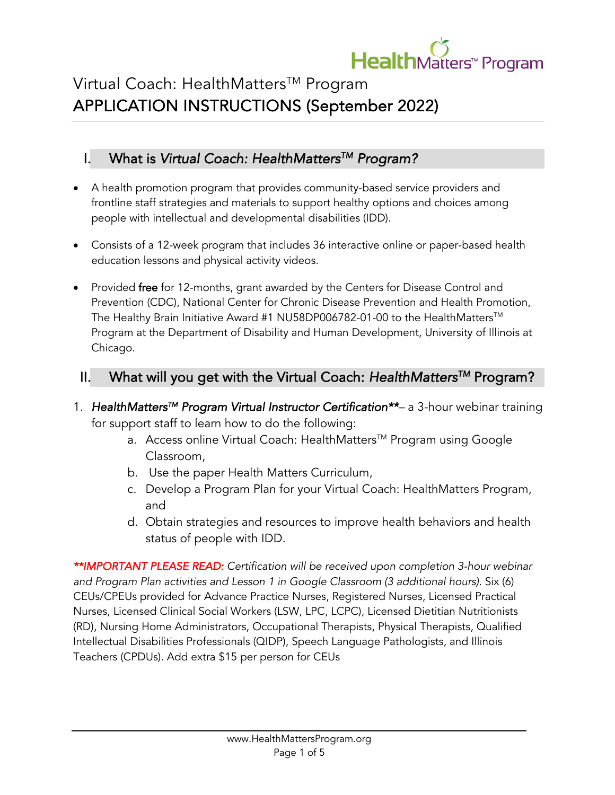

# Virtual Coach: HealthMatters™ Program APPLICATION INSTRUCTIONS (September 2022)

# I. What is *Virtual Coach: HealthMattersTM Program?*

- A health promotion program that provides community-based service providers and frontline staff strategies and materials to support healthy options and choices among people with intellectual and developmental disabilities (IDD).
- Consists of a 12-week program that includes 36 interactive online or paper-based health education lessons and physical activity videos.
- Provided free for 12-months, grant awarded by the Centers for Disease Control and Prevention (CDC), National Center for Chronic Disease Prevention and Health Promotion, The Healthy Brain Initiative Award #1 NU58DP006782-01-00 to the HealthMatters™ Programat the Department of Disability and Human Development, University of Illinois at Chicago.

## II. What will you get with the Virtual Coach: *HealthMattersTM* Program?

- 1. *HealthMattersTM Program Virtual Instructor Certification\*\*–* a 3-hour webinar training for support staff to learn how to do the following:
	- a. Access online Virtual Coach: HealthMatters™ Program using Google Classroom,
	- b. Use the paper Health Matters Curriculum,
	- c. Develop a Program Plan for your Virtual Coach: HealthMatters Program, and
	- d. Obtain strategies and resources to improve health behaviors and health status of people with IDD.

*\*\*IMPORTANT PLEASE READ: Certification will be received upon completion 3-hour webinar and Program Plan activities and Lesson 1 in Google Classroom (3 additional hours).* Six (6) CEUs/CPEUs provided for Advance Practice Nurses, Registered Nurses, Licensed Practical Nurses, Licensed Clinical Social Workers (LSW, LPC, LCPC), Licensed Dietitian Nutritionists (RD), Nursing Home Administrators, Occupational Therapists, Physical Therapists, Qualified Intellectual Disabilities Professionals (QIDP), Speech Language Pathologists, and Illinois Teachers (CPDUs). Add extra \$15 per person for CEUs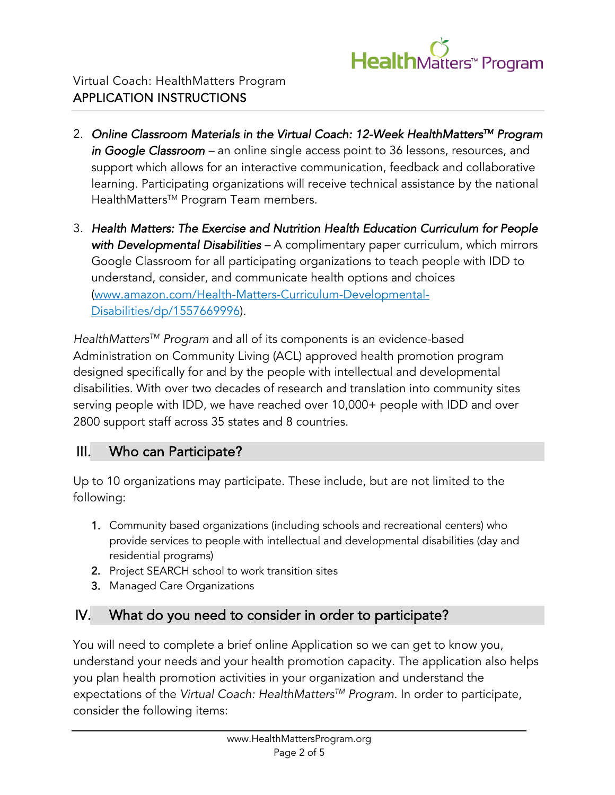

- 2. *Online Classroom Materials in the Virtual Coach: 12-Week HealthMattersTM Program in Google Classroom –* an online single access point to 36 lessons, resources, and support which allows for an interactive communication, feedback and collaborative learning. Participating organizations will receive technical assistance by the national HealthMattersTM ProgramTeam members.
- 3. *Health Matters: The Exercise and Nutrition Health Education Curriculum for People with Developmental Disabilities –* A complimentary paper curriculum, which mirrors Google Classroom for all participating organizations to teach people with IDD to understand, consider, and communicate health options and choices (www.amazon.com/Health-Matters-Curriculum-Developmental-Disabilities/dp/1557669996).

*HealthMattersTM Program* and all of its components is an evidence-based Administration on Community Living (ACL) approved health promotion program designed specifically for and by the people with intellectual and developmental disabilities. With over two decades of research and translation into community sites serving people with IDD, we have reached over 10,000+ people with IDD and over 2800 support staff across 35 states and 8 countries.

## III. Who can Participate?

Up to 10 organizations may participate. These include, but are not limited to the following:

- 1. Community based organizations (including schools and recreational centers) who provide services to people with intellectual and developmental disabilities (day and residential programs)
- 2. Project SEARCH school to work transition sites
- 3. Managed Care Organizations

# IV. What do you need to consider in order to participate?

You will need to complete a brief online Application so we can get to know you, understand your needs and your health promotion capacity. The application also helps you plan health promotion activities in your organization and understand the expectations of the *Virtual Coach: HealthMattersTM Program*. In order to participate, consider the following items: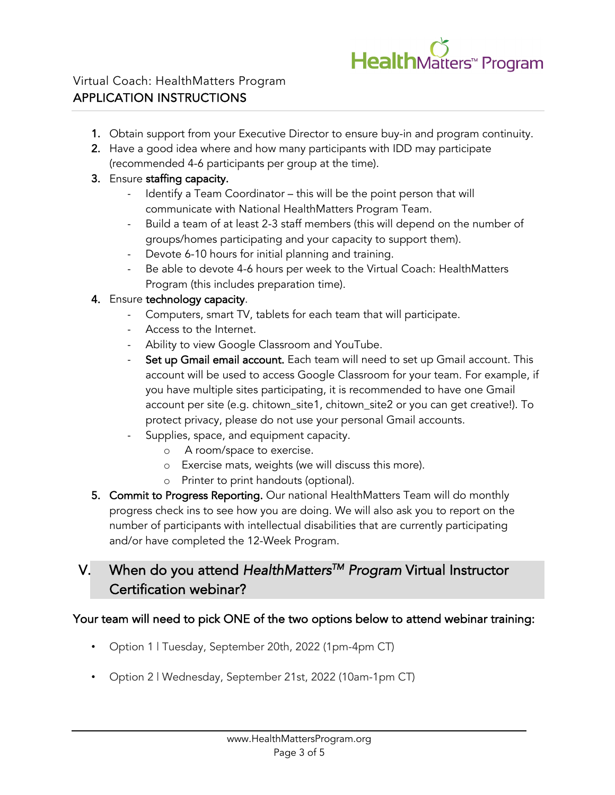

- 1. Obtain support from your Executive Director to ensure buy-in and program continuity.
- 2. Have a good idea where and how many participants with IDD may participate (recommended 4-6 participants per group at the time).

#### 3. Ensure staffing capacity.

- Identify a Team Coordinator this will be the point person that will communicate with National HealthMatters Program Team.
- Build a team of at least 2-3 staff members (this will depend on the number of groups/homes participating and your capacity to support them).
- Devote 6-10 hours for initial planning and training.
- Be able to devote 4-6 hours per week to the Virtual Coach: HealthMatters Program (this includes preparation time).

#### 4. Ensure technology capacity.

- Computers, smart TV, tablets for each team that will participate.
- Access to the Internet.
- Ability to view Google Classroom and YouTube.
- Set up Gmail email account. Each team will need to set up Gmail account. This account will be used to access Google Classroom for your team. For example, if you have multiple sites participating, it is recommended to have one Gmail account per site (e.g. chitown\_site1, chitown\_site2 or you can get creative!). To protect privacy, please do not use your personal Gmail accounts.
- Supplies, space, and equipment capacity.
	- o A room/space to exercise.
	- o Exercise mats, weights (we will discuss this more).
	- o Printer to print handouts (optional).
- 5. Commit to Progress Reporting. Our national HealthMatters Team will do monthly progress check ins to see how you are doing. We will also ask you to report on the number of participants with intellectual disabilities that are currently participating and/or have completed the 12-Week Program.

# V. When do you attend *HealthMattersTM Program* Virtual Instructor Certification webinar?

#### Your team will need to pick ONE of the two options below to attend webinar training:

- Option 1 | Tuesday, September 20th, 2022 (1pm-4pm CT)
- Option 2 | Wednesday, September 21st, 2022 (10am-1pm CT)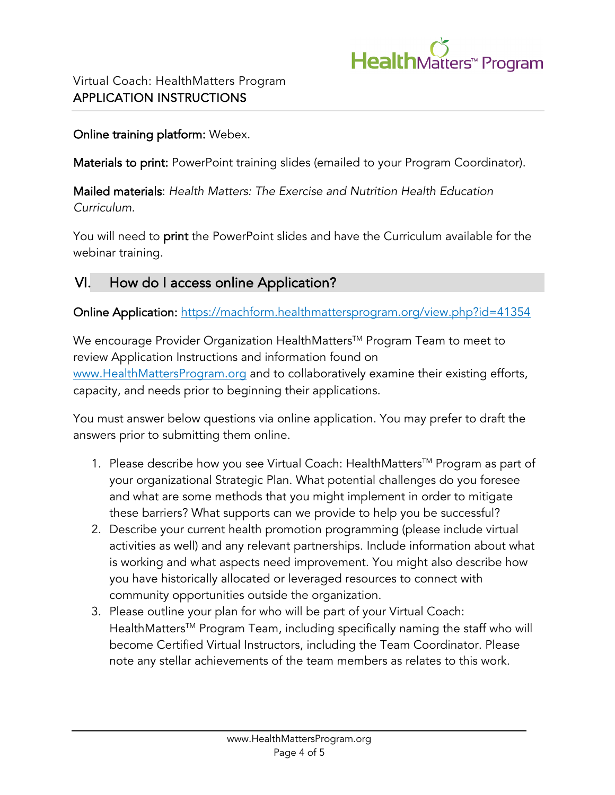

### Online training platform: Webex.

Materials to print: PowerPoint training slides (emailed to your Program Coordinator).

Mailed materials: *Health Matters: The Exercise and Nutrition Health Education Curriculum.*

You will need to print the PowerPoint slides and have the Curriculum available for the webinar training.

# VI. How do I access online Application?

Online Application: https://machform.healthmattersprogram.org/view.php?id=41354

We encourage Provider Organization HealthMatters<sup>™</sup> Program Team to meet to review Application Instructions and information found on www.HealthMattersProgram.org and to collaboratively examine their existing efforts, capacity, and needs prior to beginning their applications.

You must answer below questions via online application. You may prefer to draft the answers prior to submitting them online.

- 1. Please describe how you see Virtual Coach: HealthMattersTM Programas part of your organizational Strategic Plan. What potential challenges do you foresee and what are some methods that you might implement in order to mitigate these barriers? What supports can we provide to help you be successful?
- 2. Describe your current health promotion programming (please include virtual activities as well) and any relevant partnerships. Include information about what is working and what aspects need improvement. You might also describe how you have historically allocated or leveraged resources to connect with community opportunities outside the organization.
- 3. Please outline your plan for who will be part of your Virtual Coach: HealthMattersTM ProgramTeam, including specifically naming the staff who will become Certified Virtual Instructors, including the Team Coordinator. Please note any stellar achievements of the team members as relates to this work.